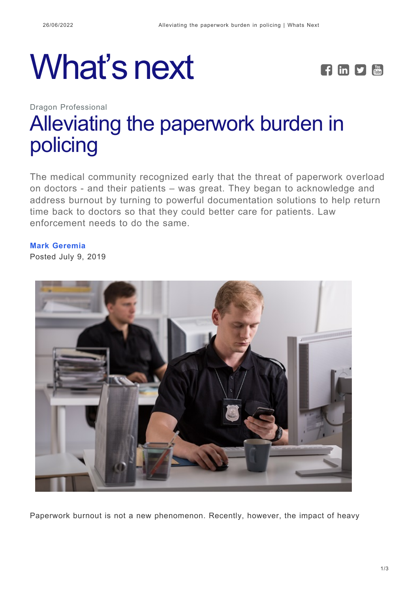# What's next **FEPE**



## Dragon Professional [Alleviating the paperwork burden in](https://whatsnext.nuance.com/dragon-professional/alleviate-paperwork-burden-dragon-law-enforcement/) [policing](https://whatsnext.nuance.com/dragon-professional/alleviate-paperwork-burden-dragon-law-enforcement/)

The medical community recognized early that the threat of paperwork overload on doctors - and their patients – was great. They began to acknowledge and address burnout by turning to powerful documentation solutions to help return time back to doctors so that they could better care for patients. Law enforcement needs to do the same.

#### **[Mark Geremia](https://whatsnext.nuance.com/author/mark-geremia/)**

Posted July 9, 2019



Paperwork burnout is not a new phenomenon. Recently, however, the impact of heavy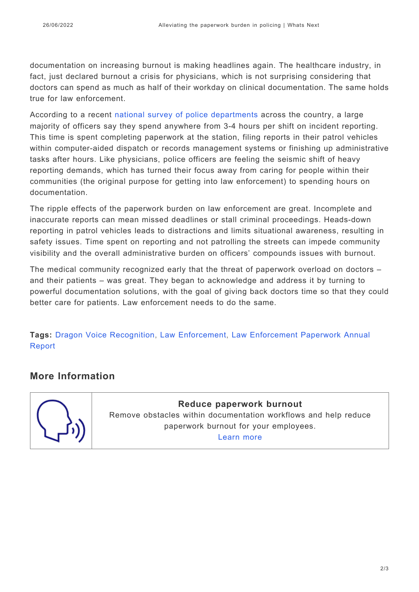documentation on increasing burnout is making headlines again. The healthcare industry, in fact, just declared burnout a crisis for physicians, which is not surprising considering that doctors can spend as much as half of their workday on clinical documentation. The same holds true for law enforcement.

According to a recent [national survey of police departments](https://www.nuance.com/dragon/campaign/dragon-law-enforcement-survey-infographic.html?utm_source=whatsnext&utm_medium=blog) across the country, a large majority of officers say they spend anywhere from 3-4 hours per shift on incident reporting. This time is spent completing paperwork at the station, filing reports in their patrol vehicles within computer-aided dispatch or records management systems or finishing up administrative tasks after hours. Like physicians, police officers are feeling the seismic shift of heavy reporting demands, which has turned their focus away from caring for people within their communities (the original purpose for getting into law enforcement) to spending hours on documentation.

The ripple effects of the paperwork burden on law enforcement are great. Incomplete and inaccurate reports can mean missed deadlines or stall criminal proceedings. Heads-down reporting in patrol vehicles leads to distractions and limits situational awareness, resulting in safety issues. Time spent on reporting and not patrolling the streets can impede community visibility and the overall administrative burden on officers' compounds issues with burnout.

The medical community recognized early that the threat of paperwork overload on doctors – and their patients – was great. They began to acknowledge and address it by turning to powerful documentation solutions, with the goal of giving back doctors time so that they could better care for patients. Law enforcement needs to do the same.

**Tags:** [Dragon Voice Recognition](https://whatsnext.nuance.com/tag/dragon-voice-recognition/), [Law Enforcement,](https://whatsnext.nuance.com/tag/law-enforcement/) [Law Enforcement Paperwork Annual](https://whatsnext.nuance.com/tag/law-enforcement-paperwork-annual-report/) [Report](https://whatsnext.nuance.com/tag/law-enforcement-paperwork-annual-report/)

### **More Information**



**Reduce paperwork burnout** Remove obstacles within documentation workflows and help reduce paperwork burnout for your employees. [Learn more](https://www.nuance.com/dragon/business-solutions/dragon-professional-group.html?utm_source=whatsnext&utm_medium=blog)